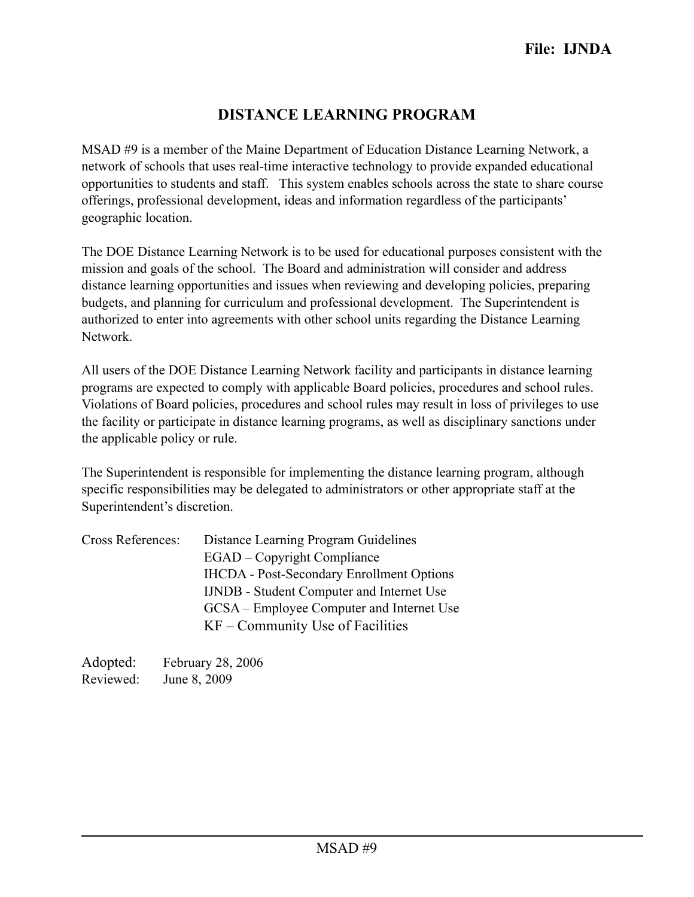## **DISTANCE LEARNING PROGRAM**

MSAD #9 is a member of the Maine Department of Education Distance Learning Network, a network of schools that uses real-time interactive technology to provide expanded educational opportunities to students and staff. This system enables schools across the state to share course offerings, professional development, ideas and information regardless of the participants' geographic location.

The DOE Distance Learning Network is to be used for educational purposes consistent with the mission and goals of the school. The Board and administration will consider and address distance learning opportunities and issues when reviewing and developing policies, preparing budgets, and planning for curriculum and professional development. The Superintendent is authorized to enter into agreements with other school units regarding the Distance Learning Network.

All users of the DOE Distance Learning Network facility and participants in distance learning programs are expected to comply with applicable Board policies, procedures and school rules. Violations of Board policies, procedures and school rules may result in loss of privileges to use the facility or participate in distance learning programs, as well as disciplinary sanctions under the applicable policy or rule.

The Superintendent is responsible for implementing the distance learning program, although specific responsibilities may be delegated to administrators or other appropriate staff at the Superintendent's discretion.

| <b>Cross References:</b> | Distance Learning Program Guidelines             |
|--------------------------|--------------------------------------------------|
|                          | <b>EGAD</b> – Copyright Compliance               |
|                          | <b>IHCDA</b> - Post-Secondary Enrollment Options |
|                          | <b>IJNDB</b> - Student Computer and Internet Use |
|                          | GCSA – Employee Computer and Internet Use        |
|                          | $KF - Community$ Use of Facilities               |

Adopted: February 28, 2006 Reviewed: June 8, 2009